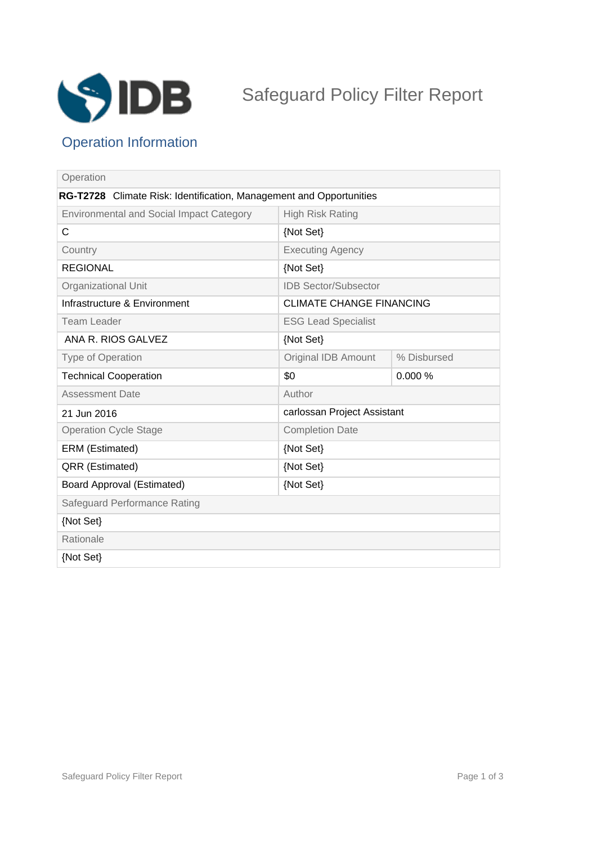

# Safeguard Policy Filter Report

## Operation Information

| Operation                                                           |                                 |             |
|---------------------------------------------------------------------|---------------------------------|-------------|
| RG-T2728 Climate Risk: Identification, Management and Opportunities |                                 |             |
| <b>Environmental and Social Impact Category</b>                     | <b>High Risk Rating</b>         |             |
| C                                                                   | {Not Set}                       |             |
| Country                                                             | <b>Executing Agency</b>         |             |
| <b>REGIONAL</b>                                                     | {Not Set}                       |             |
| Organizational Unit                                                 | <b>IDB Sector/Subsector</b>     |             |
| Infrastructure & Environment                                        | <b>CLIMATE CHANGE FINANCING</b> |             |
| <b>Team Leader</b>                                                  | <b>ESG Lead Specialist</b>      |             |
| ANA R. RIOS GALVEZ                                                  | {Not Set}                       |             |
| Type of Operation                                                   | Original IDB Amount             | % Disbursed |
| <b>Technical Cooperation</b>                                        | \$0                             | 0.000%      |
| <b>Assessment Date</b>                                              | Author                          |             |
| 21 Jun 2016                                                         | carlossan Project Assistant     |             |
| <b>Operation Cycle Stage</b>                                        | <b>Completion Date</b>          |             |
| ERM (Estimated)                                                     | {Not Set}                       |             |
| QRR (Estimated)                                                     | {Not Set}                       |             |
| Board Approval (Estimated)                                          | {Not Set}                       |             |
| Safeguard Performance Rating                                        |                                 |             |
| {Not Set}                                                           |                                 |             |
| Rationale                                                           |                                 |             |
| {Not Set}                                                           |                                 |             |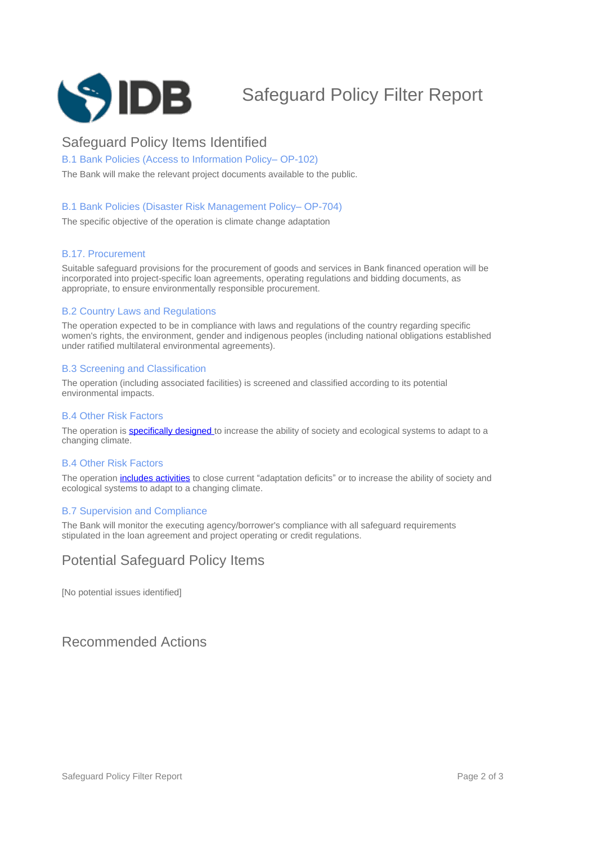

## Safeguard Policy Filter Report

## Safeguard Policy Items Identified

B.1 Bank Policies (Access to Information Policy-OP-102)

The Bank will make the relevant project documents available to the public.

#### B.1 Bank Policies (Disaster Risk Management Policy-OP-704)

The specific objective of the operation is climate change adaptation

#### B.17. Procurement

Suitable safeguard provisions for the procurement of goods and services in Bank financed operation will be incorporated into project-specific loan agreements, operating regulations and bidding documents, as appropriate, to ensure environmentally responsible procurement.

#### B.2 Country Laws and Regulations

The operation expected to be in compliance with laws and regulations of the country regarding specific women's rights, the environment, gender and indigenous peoples (including national obligations established under ratified multilateral environmental agreements).

#### B.3 Screening and Classification

The operation (including associated facilities) is screened and classified according to its potential environmental impacts.

#### B.4 Other Risk Factors

The operation is **specifically designed** to increase the ability of society and ecological systems to adapt to a changing climate.

#### B.4 Other Risk Factors

The operation [includes activities](javascript:ShowTerm() to close current "adaptation deficits" or to increase the ability of society and ecological systems to adapt to a changing climate.

#### B.7 Supervision and Compliance

The Bank will monitor the executing agency/borrower's compliance with all safeguard requirements stipulated in the loan agreement and project operating or credit regulations.

### Potential Safeguard Policy Items

[No potential issues identified]

### Recommended Actions